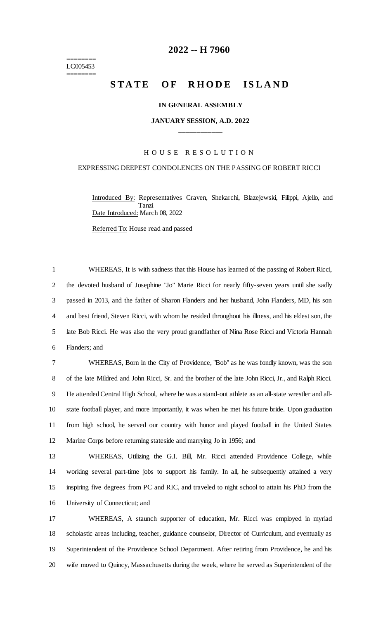======== LC005453 ========

## **-- H 7960**

# **STATE OF RHODE ISLAND**

## **IN GENERAL ASSEMBLY**

## **JANUARY SESSION, A.D. 2022 \_\_\_\_\_\_\_\_\_\_\_\_**

## H O U S E R E S O L U T I O N

## EXPRESSING DEEPEST CONDOLENCES ON THE PASSING OF ROBERT RICCI

Introduced By: Representatives Craven, Shekarchi, Blazejewski, Filippi, Ajello, and Tanzi Date Introduced: March 08, 2022

Referred To: House read and passed

 WHEREAS, It is with sadness that this House has learned of the passing of Robert Ricci, the devoted husband of Josephine "Jo" Marie Ricci for nearly fifty-seven years until she sadly passed in 2013, and the father of Sharon Flanders and her husband, John Flanders, MD, his son and best friend, Steven Ricci, with whom he resided throughout his illness, and his eldest son, the late Bob Ricci. He was also the very proud grandfather of Nina Rose Ricci and Victoria Hannah Flanders; and

 WHEREAS, Born in the City of Providence, "Bob" as he was fondly known, was the son of the late Mildred and John Ricci, Sr. and the brother of the late John Ricci, Jr., and Ralph Ricci. He attended Central High School, where he was a stand-out athlete as an all-state wrestler and all- state football player, and more importantly, it was when he met his future bride. Upon graduation from high school, he served our country with honor and played football in the United States Marine Corps before returning stateside and marrying Jo in 1956; and

 WHEREAS, Utilizing the G.I. Bill, Mr. Ricci attended Providence College, while working several part-time jobs to support his family. In all, he subsequently attained a very inspiring five degrees from PC and RIC, and traveled to night school to attain his PhD from the University of Connecticut; and

 WHEREAS, A staunch supporter of education, Mr. Ricci was employed in myriad scholastic areas including, teacher, guidance counselor, Director of Curriculum, and eventually as Superintendent of the Providence School Department. After retiring from Providence, he and his wife moved to Quincy, Massachusetts during the week, where he served as Superintendent of the